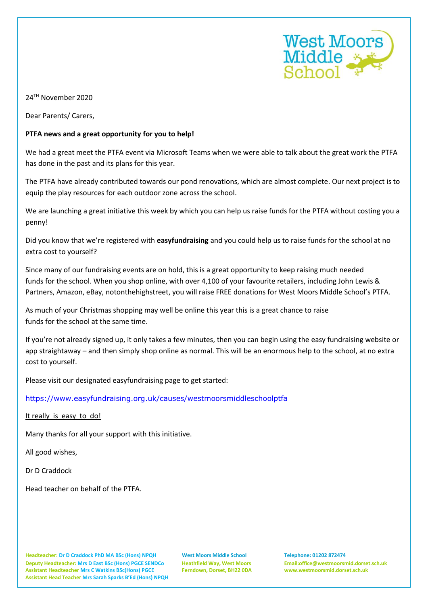

24TH November 2020

Dear Parents/ Carers,

## **PTFA news and a great opportunity for you to help!**

We had a great meet the PTFA event via Microsoft Teams when we were able to talk about the great work the PTFA has done in the past and its plans for this year.

The PTFA have already contributed towards our pond renovations, which are almost complete. Our next project is to equip the play resources for each outdoor zone across the school.

We are launching a great initiative this week by which you can help us raise funds for the PTFA without costing you a penny!

Did you know that we're registered with **easyfundraising** and you could help us to raise funds for the school at no extra cost to yourself?

Since many of our fundraising events are on hold, this is a great opportunity to keep raising much needed funds for the school. When you shop online, with over 4,100 of your favourite retailers, including John Lewis & Partners, Amazon, eBay, notonthehighstreet, you will raise FREE donations for West Moors Middle School's PTFA.

As much of your Christmas shopping may well be online this year this is a great chance to raise funds for the school at the same time.

If you're not already signed up, it only takes a few minutes, then you can begin using the easy fundraising website or app straightaway – and then simply shop online as normal. This will be an enormous help to the school, at no extra cost to yourself.

Please visit our designated easyfundraising page to get started:

<https://www.easyfundraising.org.uk/causes/westmoorsmiddleschoolptfa>

It really is easy to do!

Many thanks for all your support with this initiative.

All good wishes,

Dr D Craddock

Head teacher on behalf of the PTFA.

**Headteacher: Dr D Craddock PhD MA BSc (Hons) NPQH West Moors Middle School Telephone: 01202 872474 Deputy Headteacher: Mrs D East BSc (Hons) PGCE SENDCo Heathfield Way, West Moors Email[:office@westmoorsmid.dorset.sch.uk](mailto:office@westmoorsmid.dorset.sch.uk) Assistant Headteacher Mrs C Watkins BSc(Hons) PGCE Ferndown, Dorset, BH22 0DA www.westmoorsmid.dorset.sch.uk Assistant Head Teacher Mrs Sarah Sparks B'Ed (Hons) NPQH**